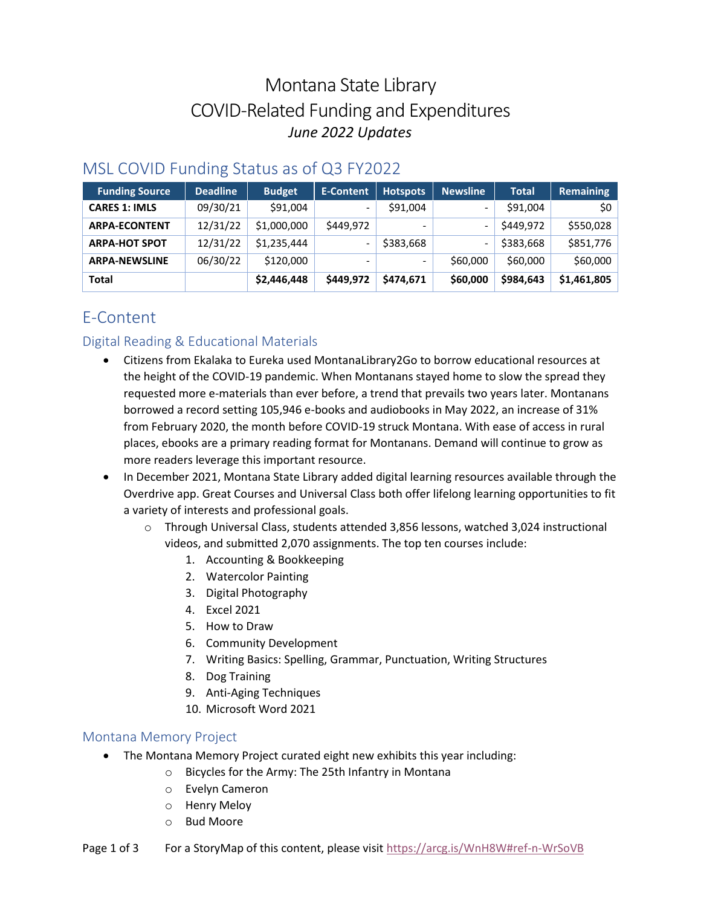# Montana State Library COVID-Related Funding and Expenditures *June 2022 Updates*

| <b>Funding Source</b> | <b>Deadline</b> | <b>Budget</b> | <b>E-Content</b> | <b>Hotspots</b> | <b>Newsline</b>          | <b>Total</b> | Remaining   |
|-----------------------|-----------------|---------------|------------------|-----------------|--------------------------|--------------|-------------|
| <b>CARES 1: IMLS</b>  | 09/30/21        | \$91,004      |                  | \$91,004        | $\overline{\phantom{0}}$ | \$91,004     | <b>SO</b>   |
| <b>ARPA-ECONTENT</b>  | 12/31/22        | \$1,000,000   | \$449,972        |                 | $\overline{\phantom{0}}$ | \$449,972    | \$550,028   |
| <b>ARPA-HOT SPOT</b>  | 12/31/22        | \$1,235,444   |                  | \$383,668       | -                        | \$383,668    | \$851,776   |
| <b>ARPA-NEWSLINE</b>  | 06/30/22        | \$120,000     |                  |                 | \$60,000                 | \$60,000     | \$60,000    |
| <b>Total</b>          |                 | \$2,446,448   | \$449,972        | \$474,671       | \$60,000                 | \$984,643    | \$1,461,805 |

### MSL COVID Funding Status as of Q3 FY2022

## E-Content

#### Digital Reading & Educational Materials

- Citizens from Ekalaka to Eureka used MontanaLibrary2Go to borrow educational resources at the height of the COVID-19 pandemic. When Montanans stayed home to slow the spread they requested more e-materials than ever before, a trend that prevails two years later. Montanans borrowed a record setting 105,946 e-books and audiobooks in May 2022, an increase of 31% from February 2020, the month before COVID-19 struck Montana. With ease of access in rural places, ebooks are a primary reading format for Montanans. Demand will continue to grow as more readers leverage this important resource.
- In December 2021, Montana State Library added digital learning resources available through the Overdrive app. Great Courses and Universal Class both offer lifelong learning opportunities to fit a variety of interests and professional goals.
	- o Through Universal Class, students attended 3,856 lessons, watched 3,024 instructional videos, and submitted 2,070 assignments. The top ten courses include:
		- 1. Accounting & Bookkeeping
		- 2. Watercolor Painting
		- 3. Digital Photography
		- 4. Excel 2021
		- 5. How to Draw
		- 6. Community Development
		- 7. Writing Basics: Spelling, Grammar, Punctuation, Writing Structures
		- 8. Dog Training
		- 9. Anti-Aging Techniques
		- 10. Microsoft Word 2021

#### Montana Memory Project

- The Montana Memory Project curated eight new exhibits this year including:
	- o Bicycles for the Army: The 25th Infantry in Montana
	- o Evelyn Cameron
	- o Henry Meloy
	- o Bud Moore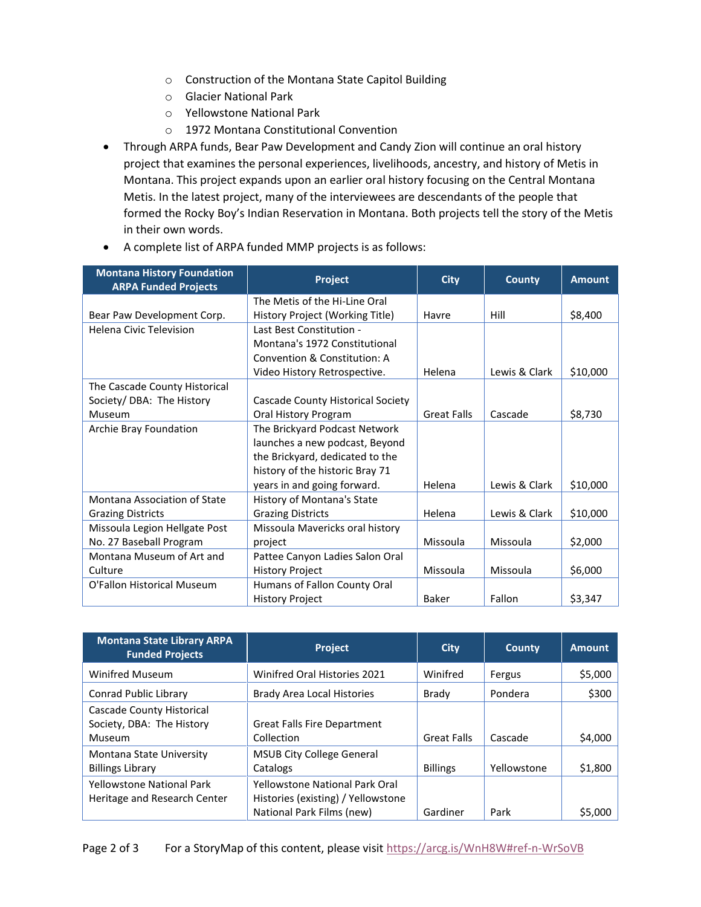- o Construction of the Montana State Capitol Building
- o Glacier National Park
- o Yellowstone National Park
- o 1972 Montana Constitutional Convention
- Through ARPA funds, Bear Paw Development and Candy Zion will continue an oral history project that examines the personal experiences, livelihoods, ancestry, and history of Metis in Montana. This project expands upon an earlier oral history focusing on the Central Montana Metis. In the latest project, many of the interviewees are descendants of the people that formed the Rocky Boy's Indian Reservation in Montana. Both projects tell the story of the Metis in their own words.

| <b>Montana History Foundation</b><br><b>ARPA Funded Projects</b> | Project                           | <b>City</b>        | <b>County</b> | <b>Amount</b> |
|------------------------------------------------------------------|-----------------------------------|--------------------|---------------|---------------|
|                                                                  | The Metis of the Hi-Line Oral     |                    |               |               |
| Bear Paw Development Corp.                                       | History Project (Working Title)   | Havre              | Hill          | \$8,400       |
| <b>Helena Civic Television</b>                                   | Last Best Constitution -          |                    |               |               |
|                                                                  | Montana's 1972 Constitutional     |                    |               |               |
|                                                                  | Convention & Constitution: A      |                    |               |               |
|                                                                  | Video History Retrospective.      | Helena             | Lewis & Clark | \$10,000      |
| The Cascade County Historical                                    |                                   |                    |               |               |
| Society/ DBA: The History                                        | Cascade County Historical Society |                    |               |               |
| Museum                                                           | Oral History Program              | <b>Great Falls</b> | Cascade       | \$8,730       |
| Archie Bray Foundation                                           | The Brickyard Podcast Network     |                    |               |               |
|                                                                  | launches a new podcast, Beyond    |                    |               |               |
|                                                                  | the Brickyard, dedicated to the   |                    |               |               |
|                                                                  | history of the historic Bray 71   |                    |               |               |
|                                                                  | years in and going forward.       | Helena             | Lewis & Clark | \$10,000      |
| Montana Association of State                                     | History of Montana's State        |                    |               |               |
| <b>Grazing Districts</b>                                         | <b>Grazing Districts</b>          | Helena             | Lewis & Clark | \$10,000      |
| Missoula Legion Hellgate Post                                    | Missoula Mavericks oral history   |                    |               |               |
| No. 27 Baseball Program                                          | project                           | Missoula           | Missoula      | \$2,000       |
| Montana Museum of Art and                                        | Pattee Canyon Ladies Salon Oral   |                    |               |               |
| Culture                                                          | <b>History Project</b>            | Missoula           | Missoula      | \$6,000       |
| O'Fallon Historical Museum                                       | Humans of Fallon County Oral      |                    |               |               |
|                                                                  | <b>History Project</b>            | Baker              | Fallon        | \$3,347       |

• A complete list of ARPA funded MMP projects is as follows:

| <b>Montana State Library ARPA</b><br><b>Funded Projects</b>      | <b>Project</b>                                                                                           | City               | <b>County</b> | <b>Amount</b> |
|------------------------------------------------------------------|----------------------------------------------------------------------------------------------------------|--------------------|---------------|---------------|
| <b>Winifred Museum</b>                                           | <b>Winifred Oral Histories 2021</b>                                                                      | Winifred           | Fergus        | \$5,000       |
| Conrad Public Library                                            | <b>Brady Area Local Histories</b>                                                                        | Brady              | Pondera       | \$300         |
| Cascade County Historical<br>Society, DBA: The History<br>Museum | <b>Great Falls Fire Department</b><br>Collection                                                         | <b>Great Falls</b> | Cascade       | \$4,000       |
| Montana State University<br><b>Billings Library</b>              | <b>MSUB City College General</b><br>Catalogs                                                             | <b>Billings</b>    | Yellowstone   | \$1,800       |
| <b>Yellowstone National Park</b><br>Heritage and Research Center | <b>Yellowstone National Park Oral</b><br>Histories (existing) / Yellowstone<br>National Park Films (new) | Gardiner           | Park          | \$5,000       |